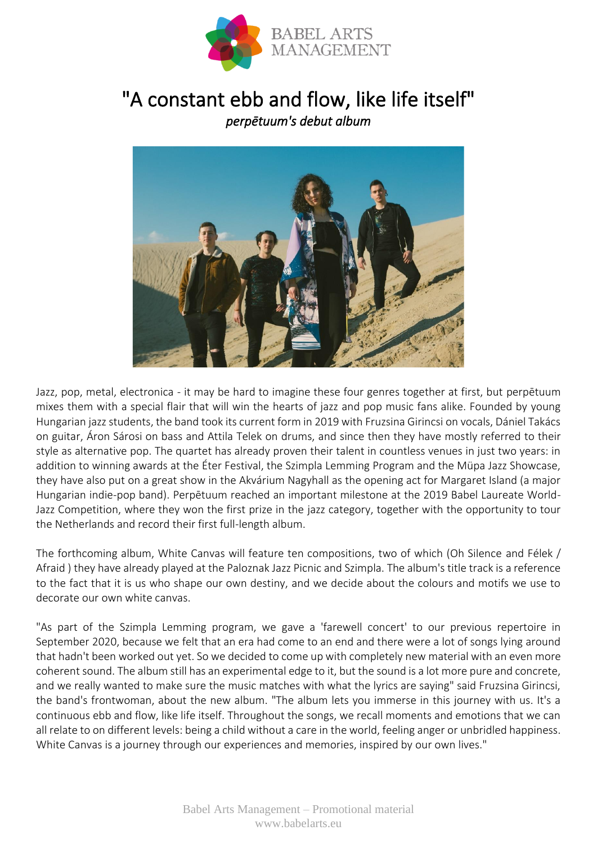

## "A constant ebb and flow, like life itself" *perpētuum's debut album*



Jazz, pop, metal, electronica - it may be hard to imagine these four genres together at first, but perpētuum mixes them with a special flair that will win the hearts of jazz and pop music fans alike. Founded by young Hungarian jazz students, the band took its current form in 2019 with Fruzsina Girincsi on vocals, Dániel Takács on guitar, Áron Sárosi on bass and Attila Telek on drums, and since then they have mostly referred to their style as alternative pop. The quartet has already proven their talent in countless venues in just two years: in addition to winning awards at the Éter Festival, the Szimpla Lemming Program and the Müpa Jazz Showcase, they have also put on a great show in the Akvárium Nagyhall as the opening act for Margaret Island (a major Hungarian indie-pop band). Perpētuum reached an important milestone at the 2019 Babel Laureate World-Jazz Competition, where they won the first prize in the jazz category, together with the opportunity to tour the Netherlands and record their first full-length album.

The forthcoming album, White Canvas will feature ten compositions, two of which (Oh Silence and Félek / Afraid ) they have already played at the Paloznak Jazz Picnic and Szimpla. The album's title track is a reference to the fact that it is us who shape our own destiny, and we decide about the colours and motifs we use to decorate our own white canvas.

"As part of the Szimpla Lemming program, we gave a 'farewell concert' to our previous repertoire in September 2020, because we felt that an era had come to an end and there were a lot of songs lying around that hadn't been worked out yet. So we decided to come up with completely new material with an even more coherent sound. The album still has an experimental edge to it, but the sound is a lot more pure and concrete, and we really wanted to make sure the music matches with what the lyrics are saying" said Fruzsina Girincsi, the band's frontwoman, about the new album. "The album lets you immerse in this journey with us. It's a continuous ebb and flow, like life itself. Throughout the songs, we recall moments and emotions that we can all relate to on different levels: being a child without a care in the world, feeling anger or unbridled happiness. White Canvas is a journey through our experiences and memories, inspired by our own lives."